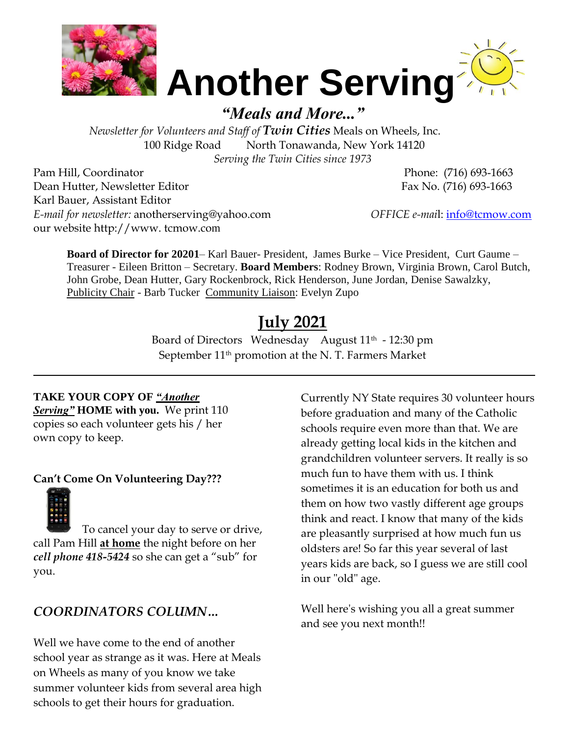



*"Meals and More..."*

 *Newsletter for Volunteers and Staff of Twin Cities* Meals on Wheels, Inc. 100 Ridge Road North Tonawanda, New York 14120 *Serving the Twin Cities since 1973* 

Pam Hill, Coordinator Phone: (716) 693-1663 Dean Hutter, Newsletter Editor Fax No. (716) 693-1663 Karl Bauer, Assistant Editor *E-mail for newsletter:* anotherserving@yahoo.com *OFFICE e-mai*l: [info@tcmow.com](mailto:info@tcmow.com) our website http://www. tcmow.com

**Board of Director for 20201**– Karl Bauer- President, James Burke – Vice President, Curt Gaume – Treasurer - Eileen Britton – Secretary. **Board Members**: Rodney Brown, Virginia Brown, Carol Butch, John Grobe, Dean Hutter, Gary Rockenbrock, Rick Henderson, June Jordan, Denise Sawalzky, Publicity Chair - Barb Tucker Community Liaison: Evelyn Zupo

# **July 2021**

Board of Directors Wednesday August 11<sup>th</sup> - 12:30 pm September  $11<sup>th</sup>$  promotion at the N. T. Farmers Market

 $\_$  , and the set of the set of the set of the set of the set of the set of the set of the set of the set of the set of the set of the set of the set of the set of the set of the set of the set of the set of the set of th

## **TAKE YOUR COPY OF** *"Another*

*Serving"* **HOME with you.** We print 110 copies so each volunteer gets his / her own copy to keep.

## **Can't Come On Volunteering Day???**



To cancel your day to serve or drive, call Pam Hill **at home** the night before on her *cell phone 418-5424* so she can get a "sub" for you.

## *COORDINATORS COLUMN…*

Well we have come to the end of another school year as strange as it was. Here at Meals on Wheels as many of you know we take summer volunteer kids from several area high schools to get their hours for graduation.

Currently NY State requires 30 volunteer hours before graduation and many of the Catholic schools require even more than that. We are already getting local kids in the kitchen and grandchildren volunteer servers. It really is so much fun to have them with us. I think sometimes it is an education for both us and them on how two vastly different age groups think and react. I know that many of the kids are pleasantly surprised at how much fun us oldsters are! So far this year several of last years kids are back, so I guess we are still cool in our "old" age.

Well here's wishing you all a great summer and see you next month!!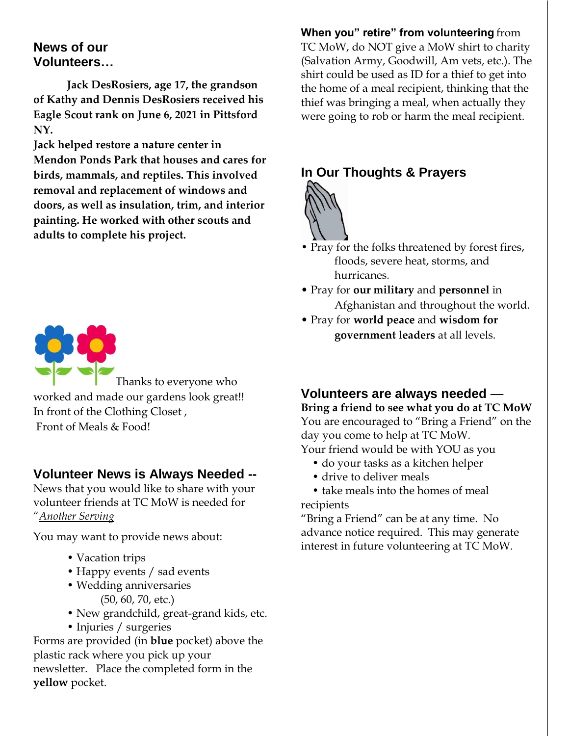## **News of our Volunteers…**

**Jack DesRosiers, age 17, the grandson of Kathy and Dennis DesRosiers received his Eagle Scout rank on June 6, 2021 in Pittsford NY.** 

**Jack helped restore a nature center in Mendon Ponds Park that houses and cares for birds, mammals, and reptiles. This involved removal and replacement of windows and doors, as well as insulation, trim, and interior painting. He worked with other scouts and adults to complete his project.**



Thanks to everyone who worked and made our gardens look great!! In front of the Clothing Closet , Front of Meals & Food!

## **Volunteer News is Always Needed --**

News that you would like to share with your volunteer friends at TC MoW is needed for "*Another Serving*

You may want to provide news about:

- Vacation trips
- Happy events / sad events
- Wedding anniversaries (50, 60, 70, etc.)
- New grandchild, great-grand kids, etc.
- Injuries / surgeries

Forms are provided (in **blue** pocket) above the plastic rack where you pick up your newsletter. Place the completed form in the **yellow** pocket.

**When you" retire" from volunteering** from TC MoW, do NOT give a MoW shirt to charity (Salvation Army, Goodwill, Am vets, etc.). The shirt could be used as ID for a thief to get into the home of a meal recipient, thinking that the thief was bringing a meal, when actually they were going to rob or harm the meal recipient.

# **In Our Thoughts & Prayers**



- Pray for the folks threatened by forest fires, floods, severe heat, storms, and hurricanes.
- Pray for **our military** and **personnel** in Afghanistan and throughout the world.
- Pray for **world peace** and **wisdom for government leaders** at all levels.

# **Volunteers are always needed** —

**Bring a friend to see what you do at TC MoW**  You are encouraged to "Bring a Friend" on the day you come to help at TC MoW. Your friend would be with YOU as you

- do your tasks as a kitchen helper
- drive to deliver meals
- take meals into the homes of meal recipients

"Bring a Friend" can be at any time. No advance notice required. This may generate interest in future volunteering at TC MoW.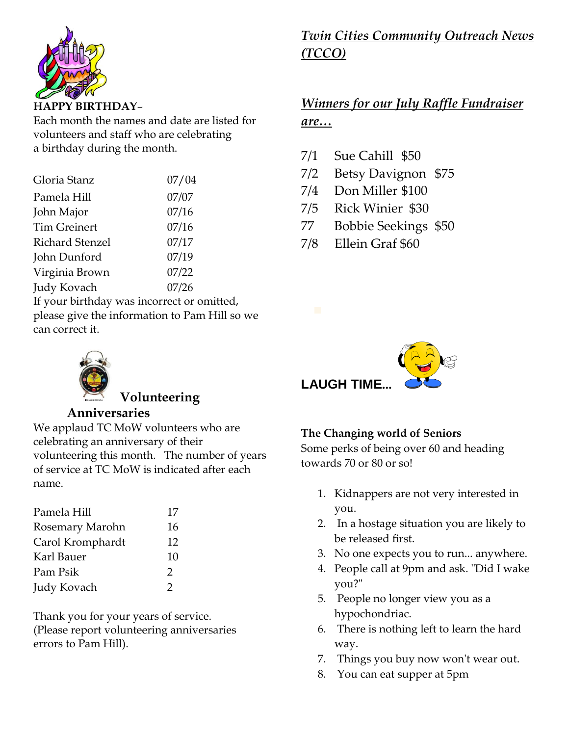

Each month the names and date are listed for volunteers and staff who are celebrating a birthday during the month.

| Gloria Stanz                                  | 07/04 |
|-----------------------------------------------|-------|
| Pamela Hill                                   | 07/07 |
| John Major                                    | 07/16 |
| <b>Tim Greinert</b>                           | 07/16 |
| Richard Stenzel                               | 07/17 |
| John Dunford                                  | 07/19 |
| Virginia Brown                                | 07/22 |
| Judy Kovach                                   | 07/26 |
| If your birthday was incorrect or omitted,    |       |
| please give the information to Pam Hill so we |       |

can correct it.

# **Volunteering**

## **Anniversaries**

We applaud TC MoW volunteers who are celebrating an anniversary of their volunteering this month. The number of years of service at TC MoW is indicated after each name.

| 17            |
|---------------|
| 16            |
| 12            |
| 10            |
| $\mathcal{P}$ |
| 2             |
|               |

Thank you for your years of service. (Please report volunteering anniversaries errors to Pam Hill).

# *Twin Cities Community Outreach News (TCCO)*

# *Winners for our July Raffle Fundraiser are…*

- 7/1 Sue Cahill \$50
- 7/2 Betsy Davignon \$75
- 7/4 Don Miller \$100
- 7/5 Rick Winier \$30
- 77 Bobbie Seekings \$50
- 7/8 Ellein Graf \$60



# **The Changing world of Seniors**

Some perks of being over 60 and heading towards 70 or 80 or so!

- 1. Kidnappers are not very interested in you.
- 2. In a hostage situation you are likely to be released first.
- 3. No one expects you to run... anywhere.
- 4. People call at 9pm and ask. "Did I wake you?"
- 5. People no longer view you as a hypochondriac.
- 6. There is nothing left to learn the hard way.
- 7. Things you buy now won't wear out.
- 8. You can eat supper at 5pm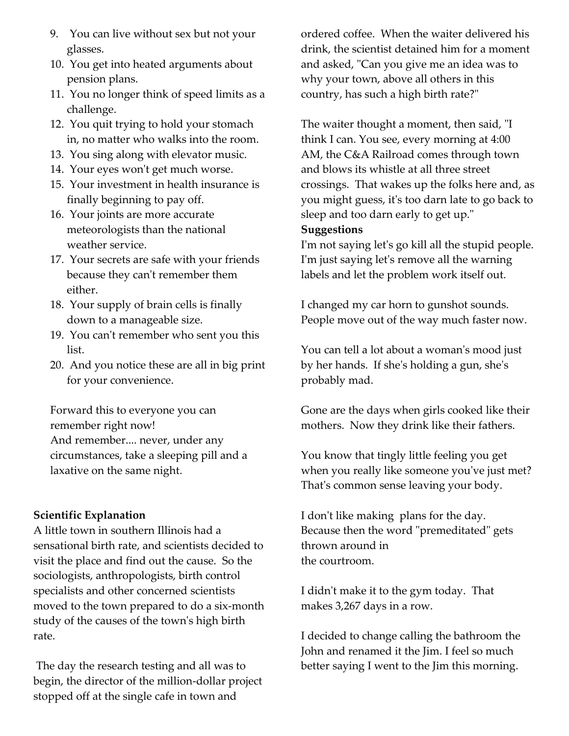- 9. You can live without sex but not your glasses.
- 10. You get into heated arguments about pension plans.
- 11. You no longer think of speed limits as a challenge.
- 12. You quit trying to hold your stomach in, no matter who walks into the room.
- 13. You sing along with elevator music.
- 14. Your eyes won't get much worse.
- 15. Your investment in health insurance is finally beginning to pay off.
- 16. Your joints are more accurate meteorologists than the national weather service.
- 17. Your secrets are safe with your friends because they can't remember them either.
- 18. Your supply of brain cells is finally down to a manageable size.
- 19. You can't remember who sent you this list.
- 20. And you notice these are all in big print for your convenience.

Forward this to everyone you can remember right now! And remember.... never, under any circumstances, take a sleeping pill and a laxative on the same night.

## **Scientific Explanation**

A little town in southern Illinois had a sensational birth rate, and scientists decided to visit the place and find out the cause. So the sociologists, anthropologists, birth control specialists and other concerned scientists moved to the town prepared to do a six-month study of the causes of the town's high birth rate.

The day the research testing and all was to begin, the director of the million-dollar project stopped off at the single cafe in town and

ordered coffee. When the waiter delivered his drink, the scientist detained him for a moment and asked, "Can you give me an idea was to why your town, above all others in this country, has such a high birth rate?"

The waiter thought a moment, then said, "I think I can. You see, every morning at 4:00 AM, the C&A Railroad comes through town and blows its whistle at all three street crossings. That wakes up the folks here and, as you might guess, it's too darn late to go back to sleep and too darn early to get up."

#### **Suggestions**

I'm not saying let's go kill all the stupid people. I'm just saying let's remove all the warning labels and let the problem work itself out.

I changed my car horn to gunshot sounds. People move out of the way much faster now.

You can tell a lot about a woman's mood just by her hands. If she's holding a gun, she's probably mad.

Gone are the days when girls cooked like their mothers. Now they drink like their fathers.

You know that tingly little feeling you get when you really like someone you've just met? That's common sense leaving your body.

I don't like making plans for the day. Because then the word "premeditated" gets thrown around in the courtroom.

I didn't make it to the gym today. That makes 3,267 days in a row.

I decided to change calling the bathroom the John and renamed it the Jim. I feel so much better saying I went to the Jim this morning.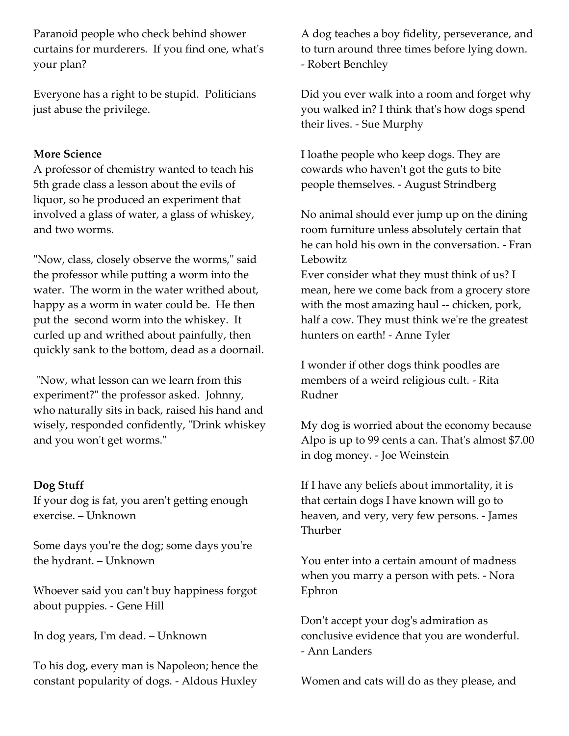Paranoid people who check behind shower curtains for murderers. If you find one, what's your plan?

Everyone has a right to be stupid. Politicians just abuse the privilege.

### **More Science**

A professor of chemistry wanted to teach his 5th grade class a lesson about the evils of liquor, so he produced an experiment that involved a glass of water, a glass of whiskey, and two worms.

"Now, class, closely observe the worms," said the professor while putting a worm into the water. The worm in the water writhed about, happy as a worm in water could be. He then put the second worm into the whiskey. It curled up and writhed about painfully, then quickly sank to the bottom, dead as a doornail.

"Now, what lesson can we learn from this experiment?" the professor asked. Johnny, who naturally sits in back, raised his hand and wisely, responded confidently, "Drink whiskey and you won't get worms."

#### **Dog Stuff**

If your dog is fat, you aren't getting enough exercise. – Unknown

Some days you're the dog; some days you're the hydrant. – Unknown

Whoever said you can't buy happiness forgot about puppies. - Gene Hill

In dog years, I'm dead. – Unknown

To his dog, every man is Napoleon; hence the constant popularity of dogs. - Aldous Huxley

A dog teaches a boy fidelity, perseverance, and to turn around three times before lying down. - Robert Benchley

Did you ever walk into a room and forget why you walked in? I think that's how dogs spend their lives. - Sue Murphy

I loathe people who keep dogs. They are cowards who haven't got the guts to bite people themselves. - August Strindberg

No animal should ever jump up on the dining room furniture unless absolutely certain that he can hold his own in the conversation. - Fran Lebowitz

Ever consider what they must think of us? I mean, here we come back from a grocery store with the most amazing haul -- chicken, pork, half a cow. They must think we're the greatest hunters on earth! - Anne Tyler

I wonder if other dogs think poodles are members of a weird religious cult. - Rita Rudner

My dog is worried about the economy because Alpo is up to 99 cents a can. That's almost \$7.00 in dog money. - Joe Weinstein

If I have any beliefs about immortality, it is that certain dogs I have known will go to heaven, and very, very few persons. - James Thurber

You enter into a certain amount of madness when you marry a person with pets. - Nora Ephron

Don't accept your dog's admiration as conclusive evidence that you are wonderful. - Ann Landers

Women and cats will do as they please, and